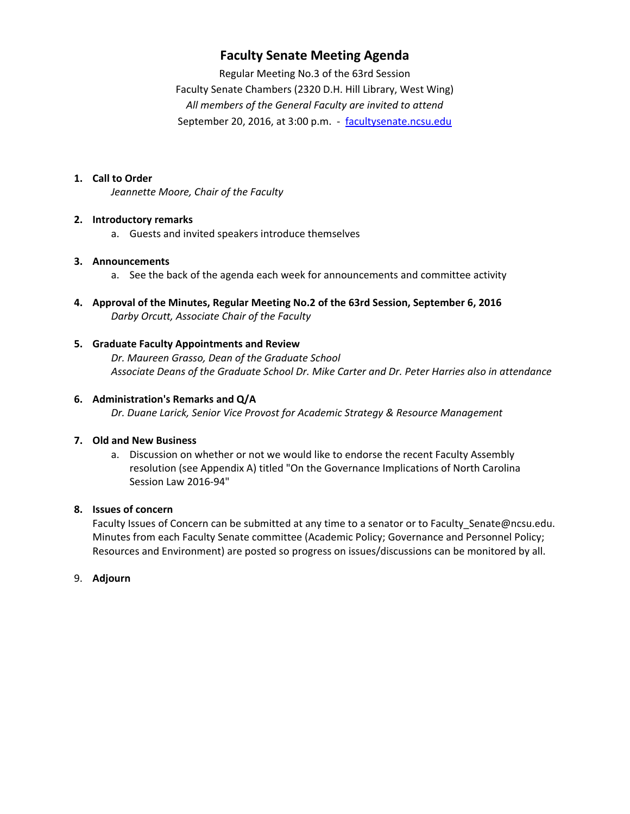# **Faculty Senate Meeting Agenda**

Regular Meeting No.3 of the 63rd Session Faculty Senate Chambers (2320 D.H. Hill Library, West Wing) *All members of the General Faculty are invited to attend* September 20, 2016, at 3:00 p.m. - facultysenate.ncsu.edu

#### **1. Call to Order**

*Jeannette Moore, Chair of the Faculty*

#### **2. Introductory remarks**

a. Guests and invited speakers introduce themselves

#### **3. Announcements**

- a. See the back of the agenda each week for announcements and committee activity
- **4. Approval of the Minutes, Regular Meeting No.2 of the 63rd Session, September 6, 2016** *Darby Orcutt, Associate Chair of the Faculty*

#### **5. Graduate Faculty Appointments and Review**

*Dr. Maureen Grasso, Dean of the Graduate School Associate Deans of the Graduate School Dr. Mike Carter and Dr. Peter Harries also in attendance*

#### **6. Administration's Remarks and Q/A**

*Dr. Duane Larick, Senior Vice Provost for Academic Strategy & Resource Management*

#### **7. Old and New Business**

a. Discussion on whether or not we would like to endorse the recent Faculty Assembly resolution (see Appendix A) titled "On the Governance Implications of North Carolina Session Law 2016‐94"

#### **8. Issues of concern**

Faculty Issues of Concern can be submitted at any time to a senator or to Faculty\_Senate@ncsu.edu. Minutes from each Faculty Senate committee (Academic Policy; Governance and Personnel Policy; Resources and Environment) are posted so progress on issues/discussions can be monitored by all.

#### 9. **Adjourn**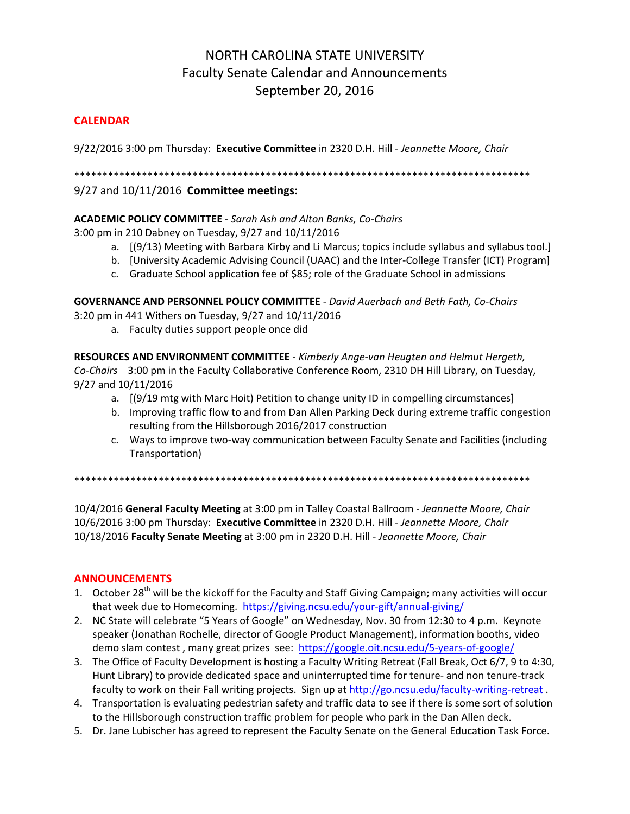# NORTH CAROLINA STATE UNIVERSITY Faculty Senate Calendar and Announcements September 20, 2016

#### **CALENDAR**

9/22/2016 3:00 pm Thursday: **Executive Committee** in 2320 D.H. Hill *‐ Jeannette Moore, Chair*

\*\*\*\*\*\*\*\*\*\*\*\*\*\*\*\*\*\*\*\*\*\*\*\*\*\*\*\*\*\*\*\*\*\*\*\*\*\*\*\*\*\*\*\*\*\*\*\*\*\*\*\*\*\*\*\*\*\*\*\*\*\*\*\*\*\*\*\*\*\*\*\*\*\*\*\*\*\*\*\*\*

#### 9/27 and 10/11/2016 **Committee meetings:**

#### **ACADEMIC POLICY COMMITTEE** ‐ *Sarah Ash and Alton Banks, Co‐Chairs*

3:00 pm in 210 Dabney on Tuesday, 9/27 and 10/11/2016

- a. [(9/13) Meeting with Barbara Kirby and Li Marcus; topics include syllabus and syllabus tool.]
- b. [University Academic Advising Council (UAAC) and the Inter-College Transfer (ICT) Program]
- c. Graduate School application fee of \$85; role of the Graduate School in admissions

**GOVERNANCE AND PERSONNEL POLICY COMMITTEE** ‐ *David Auerbach and Beth Fath, Co‐Chairs* 3:20 pm in 441 Withers on Tuesday, 9/27 and 10/11/2016

a. Faculty duties support people once did

**RESOURCES AND ENVIRONMENT COMMITTEE** ‐ *Kimberly Ange‐van Heugten and Helmut Hergeth, Co‐Chairs* 3:00 pm in the Faculty Collaborative Conference Room, 2310 DH Hill Library, on Tuesday, 9/27 and 10/11/2016

- a. [(9/19 mtg with Marc Hoit) Petition to change unity ID in compelling circumstances]
- b. Improving traffic flow to and from Dan Allen Parking Deck during extreme traffic congestion resulting from the Hillsborough 2016/2017 construction
- c. Ways to improve two-way communication between Faculty Senate and Facilities (including Transportation)

\*\*\*\*\*\*\*\*\*\*\*\*\*\*\*\*\*\*\*\*\*\*\*\*\*\*\*\*\*\*\*\*\*\*\*\*\*\*\*\*\*\*\*\*\*\*\*\*\*\*\*\*\*\*\*\*\*\*\*\*\*\*\*\*\*\*\*\*\*\*\*\*\*\*\*\*\*\*\*\*\*

10/4/2016 **General Faculty Meeting** at 3:00 pm in Talley Coastal Ballroom ‐ *Jeannette Moore, Chair* 10/6/2016 3:00 pm Thursday: **Executive Committee** in 2320 D.H. Hill *‐ Jeannette Moore, Chair* 10/18/2016 **Faculty Senate Meeting** at 3:00 pm in 2320 D.H. Hill ‐ *Jeannette Moore, Chair*

#### **ANNOUNCEMENTS**

- 1. October 28<sup>th</sup> will be the kickoff for the Faculty and Staff Giving Campaign; many activities will occur that week due to Homecoming. https://giving.ncsu.edu/your‐gift/annual‐giving/
- 2. NC State will celebrate "5 Years of Google" on Wednesday, Nov. 30 from 12:30 to 4 p.m. Keynote speaker (Jonathan Rochelle, director of Google Product Management), information booths, video demo slam contest , many great prizes see: https://google.oit.ncsu.edu/5‐years‐of‐google/
- 3. The Office of Faculty Development is hosting a Faculty Writing Retreat (Fall Break, Oct 6/7, 9 to 4:30, Hunt Library) to provide dedicated space and uninterrupted time for tenure- and non tenure-track faculty to work on their Fall writing projects. Sign up at http://go.ncsu.edu/faculty-writing-retreat.
- 4. Transportation is evaluating pedestrian safety and traffic data to see if there is some sort of solution to the Hillsborough construction traffic problem for people who park in the Dan Allen deck.
- 5. Dr. Jane Lubischer has agreed to represent the Faculty Senate on the General Education Task Force.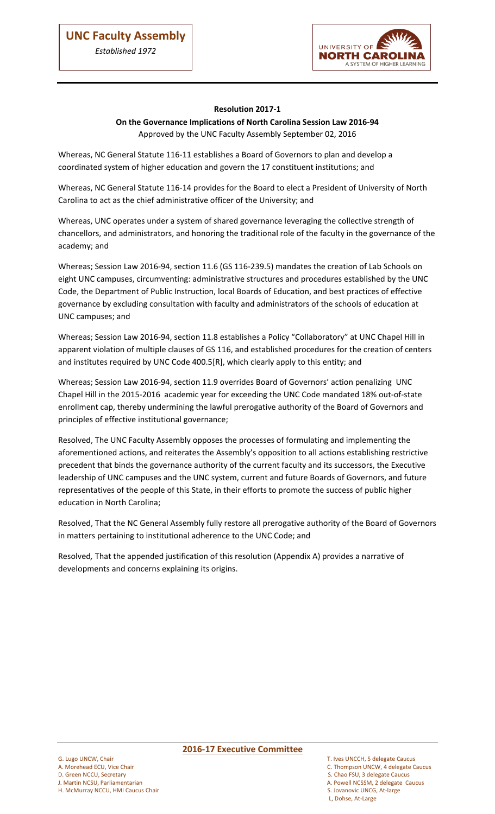ļ



## **Resolution 2017-1**

## **On the Governance Implications of North Carolina Session Law 2016-94**

Approved by the UNC Faculty Assembly September 02, 2016

Whereas, NC General Statute 116-11 establishes a Board of Governors to plan and develop a coordinated system of higher education and govern the 17 constituent institutions; and

Whereas, NC General Statute 116-14 provides for the Board to elect a President of University of North Carolina to act as the chief administrative officer of the University; and

Whereas, UNC operates under a system of shared governance leveraging the collective strength of chancellors, and administrators, and honoring the traditional role of the faculty in the governance of the academy; and

Whereas; Session Law 2016-94, section 11.6 (GS 116-239.5) mandates the creation of Lab Schools on eight UNC campuses, circumventing: administrative structures and procedures established by the UNC Code, the Department of Public Instruction, local Boards of Education, and best practices of effective governance by excluding consultation with faculty and administrators of the schools of education at UNC campuses; and

Whereas; Session Law 2016-94, section 11.8 establishes a Policy "Collaboratory" at UNC Chapel Hill in apparent violation of multiple clauses of GS 116, and established procedures for the creation of centers and institutes required by UNC Code 400.5[R], which clearly apply to this entity; and

Whereas; Session Law 2016-94, section 11.9 overrides Board of Governors' action penalizing UNC Chapel Hill in the 2015-2016 academic year for exceeding the UNC Code mandated 18% out-of-state enrollment cap, thereby undermining the lawful prerogative authority of the Board of Governors and principles of effective institutional governance;

Resolved, The UNC Faculty Assembly opposes the processes of formulating and implementing the aforementioned actions, and reiterates the Assembly's opposition to all actions establishing restrictive precedent that binds the governance authority of the current faculty and its successors, the Executive leadership of UNC campuses and the UNC system, current and future Boards of Governors, and future representatives of the people of this State, in their efforts to promote the success of public higher education in North Carolina;

Resolved, That the NC General Assembly fully restore all prerogative authority of the Board of Governors in matters pertaining to institutional adherence to the UNC Code; and

Resolved*,* That the appended justification of this resolution (Appendix A) provides a narrative of developments and concerns explaining its origins.

G. Lugo UNCW, Chair T. Ives UNCCH, 5 delegate Caucus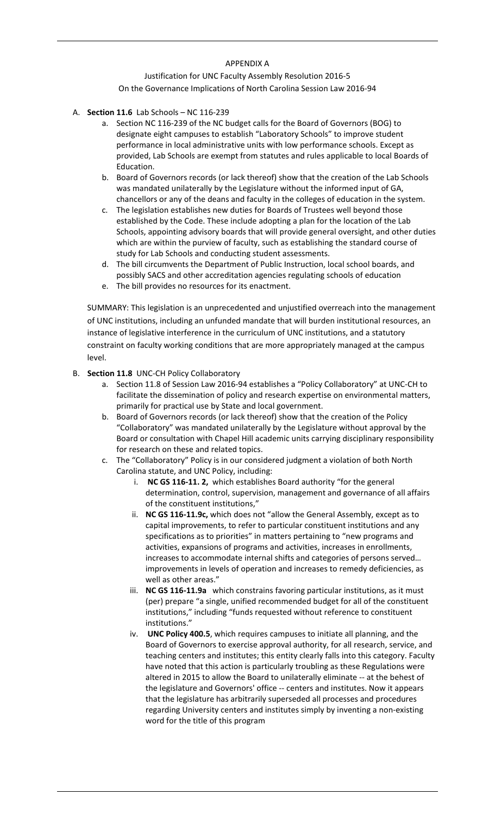#### APPENDIX A

### Justification for UNC Faculty Assembly Resolution 2016-5 On the Governance Implications of North Carolina Session Law 2016-94

- A. **Section 11.6** Lab Schools NC 116-239
	- a. Section NC 116-239 of the NC budget calls for the Board of Governors (BOG) to designate eight campuses to establish "Laboratory Schools" to improve student performance in local administrative units with low performance schools. Except as provided, Lab Schools are exempt from statutes and rules applicable to local Boards of Education.
	- b. Board of Governors records (or lack thereof) show that the creation of the Lab Schools was mandated unilaterally by the Legislature without the informed input of GA, chancellors or any of the deans and faculty in the colleges of education in the system.
	- c. The legislation establishes new duties for Boards of Trustees well beyond those established by the Code. These include adopting a plan for the location of the Lab Schools, appointing advisory boards that will provide general oversight, and other duties which are within the purview of faculty, such as establishing the standard course of study for Lab Schools and conducting student assessments.
	- d. The bill circumvents the Department of Public Instruction, local school boards, and possibly SACS and other accreditation agencies regulating schools of education
	- e. The bill provides no resources for its enactment.

SUMMARY: This legislation is an unprecedented and unjustified overreach into the management of UNC institutions, including an unfunded mandate that will burden institutional resources, an instance of legislative interference in the curriculum of UNC institutions, and a statutory constraint on faculty working conditions that are more appropriately managed at the campus level.

- B. **Section 11.8** UNC-CH Policy Collaboratory
	- a. Section 11.8 of Session Law 2016-94 establishes a "Policy Collaboratory" at UNC-CH to facilitate the dissemination of policy and research expertise on environmental matters, primarily for practical use by State and local government.
	- b. Board of Governors records (or lack thereof) show that the creation of the Policy "Collaboratory" was mandated unilaterally by the Legislature without approval by the Board or consultation with Chapel Hill academic units carrying disciplinary responsibility for research on these and related topics.
	- c. The "Collaboratory" Policy is in our considered judgment a violation of both North Carolina statute, and UNC Policy, including:
		- i. **NC GS 116-11. 2,** which establishes Board authority "for the general determination, control, supervision, management and governance of all affairs of the constituent institutions,"
		- ii. **NC GS 116-11.9c,** which does not "allow the General Assembly, except as to capital improvements, to refer to particular constituent institutions and any specifications as to priorities" in matters pertaining to "new programs and activities, expansions of programs and activities, increases in enrollments, increases to accommodate internal shifts and categories of persons served… improvements in levels of operation and increases to remedy deficiencies, as well as other areas."
		- iii. **NC GS 116-11.9a** which constrains favoring particular institutions, as it must (per) prepare "a single, unified recommended budget for all of the constituent institutions," including "funds requested without reference to constituent institutions."
		- iv. **UNC Policy 400.5**, which requires campuses to initiate all planning, and the Board of Governors to exercise approval authority, for all research, service, and teaching centers and institutes; this entity clearly falls into this category. Faculty have noted that this action is particularly troubling as these Regulations were altered in 2015 to allow the Board to unilaterally eliminate -- at the behest of the legislature and Governors' office -- centers and institutes. Now it appears that the legislature has arbitrarily superseded all processes and procedures regarding University centers and institutes simply by inventing a non-existing word for the title of this program